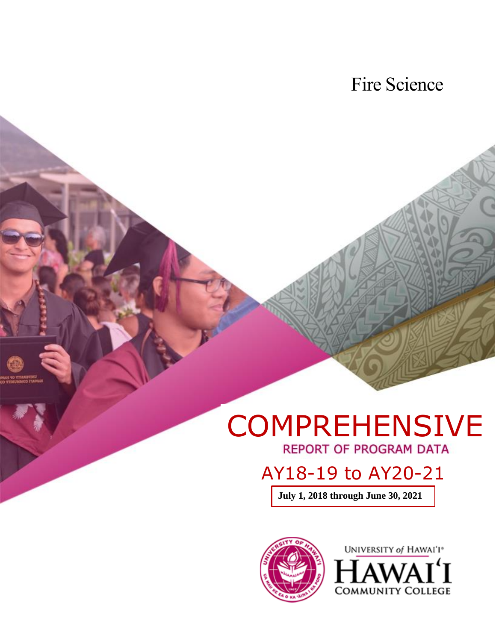Fire Science

# COMPREHENSIVE

AY18-19 to AY20-21

**July 1, 2018 through June 30, 2021**

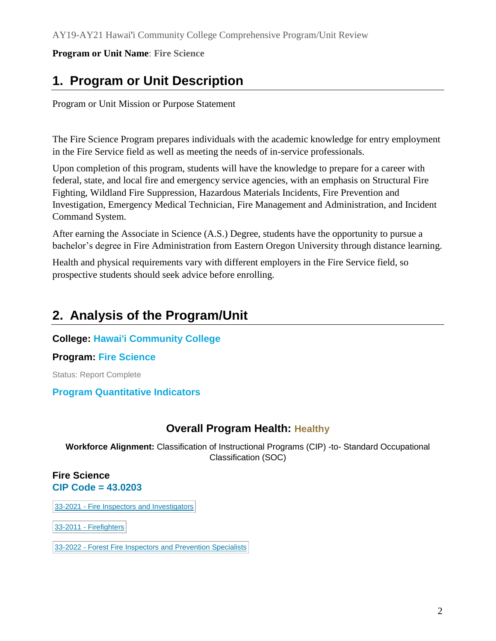# **1. Program or Unit Description**

Program or Unit Mission or Purpose Statement

The Fire Science Program prepares individuals with the academic knowledge for entry employment in the Fire Service field as well as meeting the needs of in-service professionals.

Upon completion of this program, students will have the knowledge to prepare for a career with federal, state, and local fire and emergency service agencies, with an emphasis on Structural Fire Fighting, Wildland Fire Suppression, Hazardous Materials Incidents, Fire Prevention and Investigation, Emergency Medical Technician, Fire Management and Administration, and Incident Command System.

After earning the Associate in Science (A.S.) Degree, students have the opportunity to pursue a bachelor's degree in Fire Administration from Eastern Oregon University through distance learning.

Health and physical requirements vary with different employers in the Fire Service field, so prospective students should seek advice before enrolling.

# **2. Analysis of the Program/Unit**

## **College: Hawai'i Community College**

## **Program: Fire Science**

Status: Report Complete

## **Program Quantitative Indicators**

## **Overall Program Health: Healthy**

**Workforce Alignment:** Classification of Instructional Programs (CIP) -to- Standard Occupational Classification (SOC)

#### **Fire Science CIP Code = 43.0203**

33-2021 - Fire Inspectors and [Investigators](about:blank)

33-2011 - [Firefighters](about:blank)

33-2022 - Forest Fire Inspectors and [Prevention](about:blank) Specialists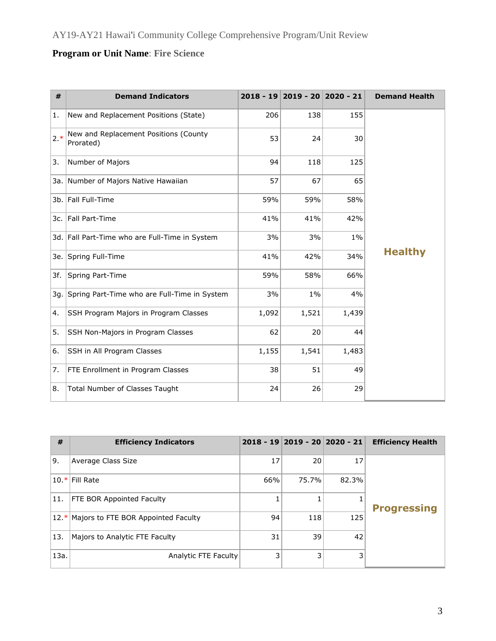| #     | <b>Demand Indicators</b>                           |       | 2018 - 19 2019 - 20 2020 - 21 |       | <b>Demand Health</b> |
|-------|----------------------------------------------------|-------|-------------------------------|-------|----------------------|
| 1.    | New and Replacement Positions (State)              | 206   | 138                           | 155   |                      |
| $2.*$ | New and Replacement Positions (County<br>Prorated) | 53    | 24                            | 30    |                      |
| 3.    | Number of Majors                                   | 94    | 118                           | 125   |                      |
| 3a. I | Number of Majors Native Hawaiian                   | 57    | 67                            | 65    |                      |
|       | 3b. Fall Full-Time                                 | 59%   | 59%                           | 58%   |                      |
| 3с.   | Fall Part-Time                                     | 41%   | 41%                           | 42%   |                      |
|       | 3d. Fall Part-Time who are Full-Time in System     | 3%    | 3%                            | $1\%$ |                      |
| 3e.   | Spring Full-Time                                   | 41%   | 42%                           | 34%   | <b>Healthy</b>       |
| 3f.   | Spring Part-Time                                   | 59%   | 58%                           | 66%   |                      |
| 3q.   | Spring Part-Time who are Full-Time in System       | 3%    | $1\%$                         | 4%    |                      |
| 4.    | SSH Program Majors in Program Classes              | 1,092 | 1,521                         | 1,439 |                      |
| 5.    | SSH Non-Majors in Program Classes                  | 62    | 20                            | 44    |                      |
| 6.    | SSH in All Program Classes                         | 1,155 | 1,541                         | 1,483 |                      |
| 7.    | FTE Enrollment in Program Classes                  | 38    | 51                            | 49    |                      |
| 8.    | Total Number of Classes Taught                     | 24    | 26                            | 29    |                      |

| #      | <b>Efficiency Indicators</b>        |     | 2018 - 19 2019 - 20 2020 - 21 |       | <b>Efficiency Health</b> |
|--------|-------------------------------------|-----|-------------------------------|-------|--------------------------|
| 9.     | Average Class Size                  | 17  | 20                            | 17    |                          |
|        | 10.* Fill Rate                      | 66% | 75.7%                         | 82.3% |                          |
| 11.    | <b>FTE BOR Appointed Faculty</b>    |     |                               |       | <b>Progressing</b>       |
| $12.*$ | Majors to FTE BOR Appointed Faculty | 94  | 118                           | 125   |                          |
| 13.    | Majors to Analytic FTE Faculty      | 31  | 39                            | 42    |                          |
| 13a.   | Analytic FTE Faculty                | 3   | 3                             | 3     |                          |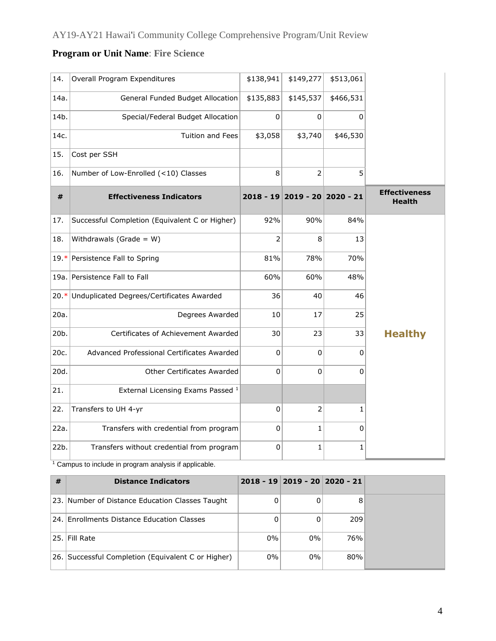| 14.    | Overall Program Expenditures                   | \$138,941   | \$149,277                     | \$513,061 |                                       |
|--------|------------------------------------------------|-------------|-------------------------------|-----------|---------------------------------------|
| 14a.   | General Funded Budget Allocation               | \$135,883   | \$145,537                     | \$466,531 |                                       |
| 14b.   | Special/Federal Budget Allocation              | 0           | $\mathbf 0$                   | 0         |                                       |
| 14c.   | Tuition and Fees                               | \$3,058     | \$3,740                       | \$46,530  |                                       |
| 15.    | Cost per SSH                                   |             |                               |           |                                       |
| 16.    | Number of Low-Enrolled (<10) Classes           | 8           | $\overline{2}$                | 5         |                                       |
| #      | <b>Effectiveness Indicators</b>                |             | 2018 - 19 2019 - 20 2020 - 21 |           | <b>Effectiveness</b><br><b>Health</b> |
| 17.    | Successful Completion (Equivalent C or Higher) | 92%         | 90%                           | 84%       |                                       |
| 18.    | Withdrawals (Grade = $W$ )                     | 2           | 8                             | 13        |                                       |
| $19.*$ | Persistence Fall to Spring                     | 81%         | 78%                           | 70%       |                                       |
|        | 19a. Persistence Fall to Fall                  | 60%         | 60%                           | 48%       |                                       |
| $20.*$ | Unduplicated Degrees/Certificates Awarded      | 36          | 40                            | 46        |                                       |
| 20a.   | Degrees Awarded                                | 10          | 17                            | 25        |                                       |
| 20b.   | Certificates of Achievement Awarded            | 30          | 23                            | 33        | <b>Healthy</b>                        |
| 20c.   | Advanced Professional Certificates Awarded     | 0           | 0                             | 0         |                                       |
| 20d.   | Other Certificates Awarded                     | $\Omega$    | 0                             | 0         |                                       |
| 21.    | External Licensing Exams Passed <sup>1</sup>   |             |                               |           |                                       |
| 22.    | Transfers to UH 4-yr                           | $\mathbf 0$ | $\overline{2}$                | 1         |                                       |
| 22a.   | Transfers with credential from program         | 0           | 1                             | 0         |                                       |
| 22b.   | Transfers without credential from program      | 0           | 1                             | 1         |                                       |

<sup>1</sup> Campus to include in program analysis if applicable.

| #   | <b>Distance Indicators</b>                         |       | $2018 - 19$ 2019 - 20 2020 - 21 |     |  |
|-----|----------------------------------------------------|-------|---------------------------------|-----|--|
|     | 23. Number of Distance Education Classes Taught    |       |                                 | 8   |  |
| 24. | Enrollments Distance Education Classes             |       |                                 | 209 |  |
|     | 25. Fill Rate                                      | $0\%$ | $0\%$                           | 76% |  |
|     | 26. Successful Completion (Equivalent C or Higher) | $0\%$ | $0\%$                           | 80% |  |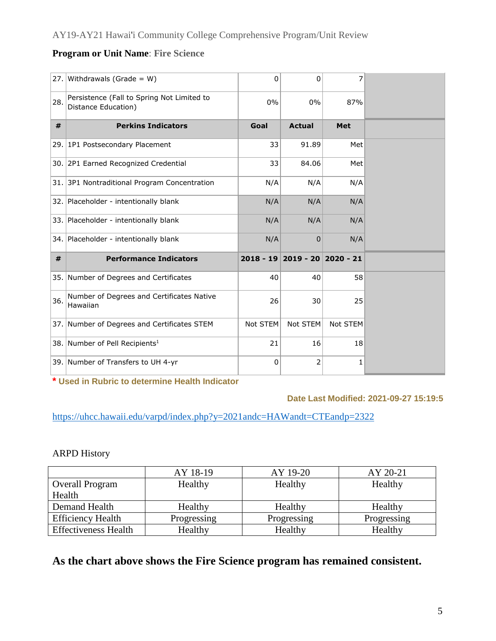| 27. | Withdrawals (Grade = $W$ )                                        | 0        | $\Omega$                      | 7          |  |
|-----|-------------------------------------------------------------------|----------|-------------------------------|------------|--|
| 28. | Persistence (Fall to Spring Not Limited to<br>Distance Education) | 0%       | 0%                            | 87%        |  |
| #   | <b>Perkins Indicators</b>                                         | Goal     | <b>Actual</b>                 | <b>Met</b> |  |
|     | 29. 1P1 Postsecondary Placement                                   | 33       | 91.89                         | Met        |  |
|     | 30. 2P1 Earned Recognized Credential                              | 33       | 84.06                         | Met        |  |
|     | 31. 3P1 Nontraditional Program Concentration                      | N/A      | N/A                           | N/A        |  |
|     | 32. Placeholder - intentionally blank                             | N/A      | N/A                           | N/A        |  |
|     | 33. Placeholder - intentionally blank                             | N/A      | N/A                           | N/A        |  |
|     | 34. Placeholder - intentionally blank                             | N/A      | $\overline{0}$                | N/A        |  |
| #   | <b>Performance Indicators</b>                                     |          | 2018 - 19 2019 - 20 2020 - 21 |            |  |
|     | 35. Number of Degrees and Certificates                            | 40       | 40                            | 58         |  |
| 36. | Number of Degrees and Certificates Native<br>Hawaiian             | 26       | 30                            | 25         |  |
|     | 37. Number of Degrees and Certificates STEM                       | Not STEM | Not STEM                      | Not STEM   |  |
|     | 38. Number of Pell Recipients <sup>1</sup>                        | 21       | 16                            | 18         |  |
|     | 39. Number of Transfers to UH 4-yr                                | 0        | 2                             | 1          |  |

**\* Used in Rubric to determine Health Indicator**

## **Date Last Modified: 2021-09-27 15:19:5**

[https://uhcc.hawaii.edu/varpd/index.php?y=2021andc=HAWandt=CTEandp=2322](about:blank)

## ARPD History

|                             | AY 18-19    | AY 19-20    | AY 20-21    |
|-----------------------------|-------------|-------------|-------------|
| <b>Overall Program</b>      | Healthy     | Healthy     | Healthy     |
| Health                      |             |             |             |
| Demand Health               | Healthy     | Healthy     | Healthy     |
| <b>Efficiency Health</b>    | Progressing | Progressing | Progressing |
| <b>Effectiveness Health</b> | Healthy     | Healthy     | Healthy     |

## **As the chart above shows the Fire Science program has remained consistent.**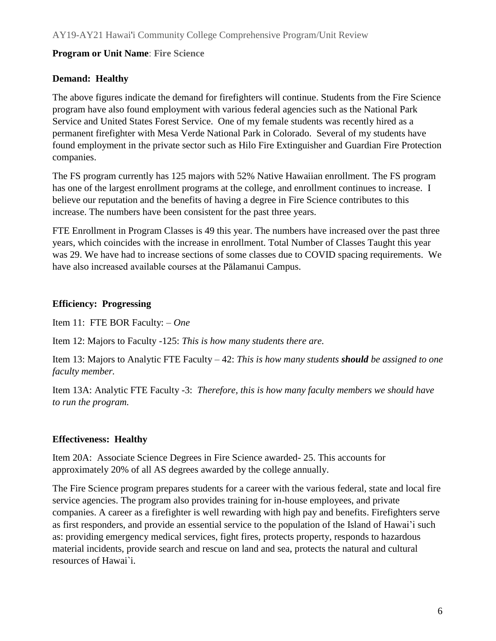## **Demand: Healthy**

The above figures indicate the demand for firefighters will continue. Students from the Fire Science program have also found employment with various federal agencies such as the National Park Service and United States Forest Service. One of my female students was recently hired as a permanent firefighter with Mesa Verde National Park in Colorado. Several of my students have found employment in the private sector such as Hilo Fire Extinguisher and Guardian Fire Protection companies.

The FS program currently has 125 majors with 52% Native Hawaiian enrollment. The FS program has one of the largest enrollment programs at the college, and enrollment continues to increase. I believe our reputation and the benefits of having a degree in Fire Science contributes to this increase. The numbers have been consistent for the past three years.

FTE Enrollment in Program Classes is 49 this year. The numbers have increased over the past three years, which coincides with the increase in enrollment. Total Number of Classes Taught this year was 29. We have had to increase sections of some classes due to COVID spacing requirements. We have also increased available courses at the Pālamanui Campus.

## **Efficiency: Progressing**

Item 11: FTE BOR Faculty: – *One*

Item 12: Majors to Faculty -125: *This is how many students there are.*

Item 13: Majors to Analytic FTE Faculty – 42: *This is how many students should be assigned to one faculty member.*

Item 13A: Analytic FTE Faculty -3: *Therefore, this is how many faculty members we should have to run the program.*

## **Effectiveness: Healthy**

Item 20A: Associate Science Degrees in Fire Science awarded- 25. This accounts for approximately 20% of all AS degrees awarded by the college annually.

The Fire Science program prepares students for a career with the various federal, state and local fire service agencies. The program also provides training for in-house employees, and private companies. A career as a firefighter is well rewarding with high pay and benefits. Firefighters serve as first responders, and provide an essential service to the population of the Island of Hawai'i such as: providing emergency medical services, fight fires, protects property, responds to hazardous material incidents, provide search and rescue on land and sea, protects the natural and cultural resources of Hawai`i.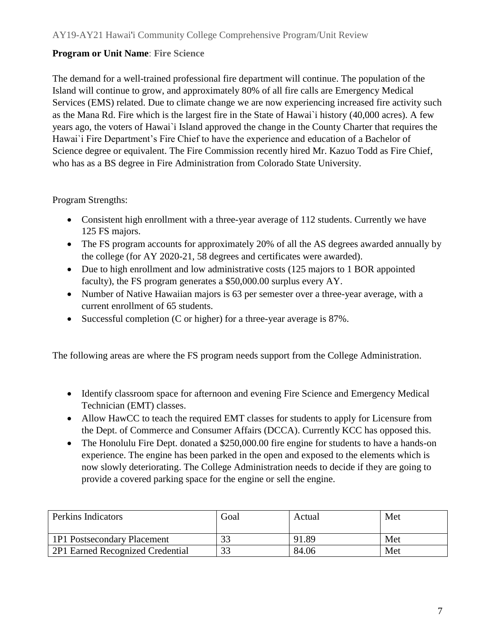The demand for a well-trained professional fire department will continue. The population of the Island will continue to grow, and approximately 80% of all fire calls are Emergency Medical Services (EMS) related. Due to climate change we are now experiencing increased fire activity such as the Mana Rd. Fire which is the largest fire in the State of Hawai`i history (40,000 acres). A few years ago, the voters of Hawai`i Island approved the change in the County Charter that requires the Hawai`i Fire Department's Fire Chief to have the experience and education of a Bachelor of Science degree or equivalent. The Fire Commission recently hired Mr. Kazuo Todd as Fire Chief, who has as a BS degree in Fire Administration from Colorado State University.

Program Strengths:

- Consistent high enrollment with a three-year average of 112 students. Currently we have 125 FS majors.
- The FS program accounts for approximately 20% of all the AS degrees awarded annually by the college (for AY 2020-21, 58 degrees and certificates were awarded).
- Due to high enrollment and low administrative costs (125 majors to 1 BOR appointed faculty), the FS program generates a \$50,000.00 surplus every AY.
- Number of Native Hawaiian majors is 63 per semester over a three-year average, with a current enrollment of 65 students.
- Successful completion (C or higher) for a three-year average is 87%.

The following areas are where the FS program needs support from the College Administration.

- Identify classroom space for afternoon and evening Fire Science and Emergency Medical Technician (EMT) classes.
- Allow HawCC to teach the required EMT classes for students to apply for Licensure from the Dept. of Commerce and Consumer Affairs (DCCA). Currently KCC has opposed this.
- The Honolulu Fire Dept. donated a \$250,000.00 fire engine for students to have a hands-on experience. The engine has been parked in the open and exposed to the elements which is now slowly deteriorating. The College Administration needs to decide if they are going to provide a covered parking space for the engine or sell the engine.

| Perkins Indicators               | Goal | Actual | Met |
|----------------------------------|------|--------|-----|
| 1P1 Postsecondary Placement      |      | 91.89  | Met |
| 2P1 Earned Recognized Credential | 33   | 84.06  | Met |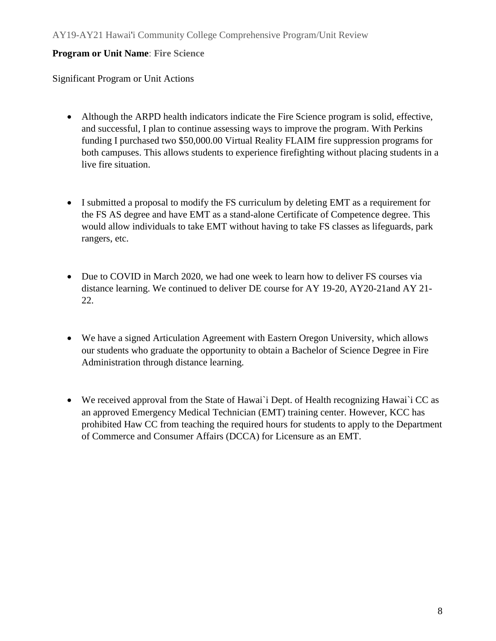Significant Program or Unit Actions

- Although the ARPD health indicators indicate the Fire Science program is solid, effective, and successful, I plan to continue assessing ways to improve the program. With Perkins funding I purchased two \$50,000.00 Virtual Reality FLAIM fire suppression programs for both campuses. This allows students to experience firefighting without placing students in a live fire situation.
- I submitted a proposal to modify the FS curriculum by deleting EMT as a requirement for the FS AS degree and have EMT as a stand-alone Certificate of Competence degree. This would allow individuals to take EMT without having to take FS classes as lifeguards, park rangers, etc.
- Due to COVID in March 2020, we had one week to learn how to deliver FS courses via distance learning. We continued to deliver DE course for AY 19-20, AY20-21and AY 21- 22.
- We have a signed Articulation Agreement with Eastern Oregon University, which allows our students who graduate the opportunity to obtain a Bachelor of Science Degree in Fire Administration through distance learning.
- We received approval from the State of Hawai`i Dept. of Health recognizing Hawai`i CC as an approved Emergency Medical Technician (EMT) training center. However, KCC has prohibited Haw CC from teaching the required hours for students to apply to the Department of Commerce and Consumer Affairs (DCCA) for Licensure as an EMT.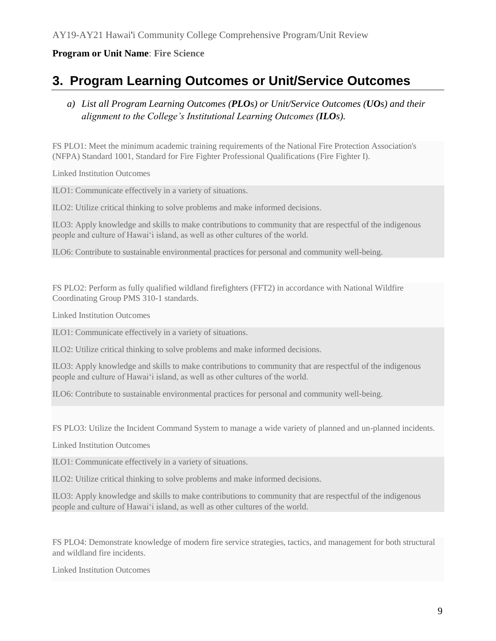# **3. Program Learning Outcomes or Unit/Service Outcomes**

## *a) List all Program Learning Outcomes (PLOs) or Unit/Service Outcomes (UOs) and their alignment to the College's Institutional Learning Outcomes (ILOs).*

FS PLO1: Meet the minimum academic training requirements of the National Fire Protection Association's (NFPA) Standard 1001, Standard for Fire Fighter Professional Qualifications (Fire Fighter I).

Linked Institution Outcomes

ILO1: Communicate effectively in a variety of situations.

ILO2: Utilize critical thinking to solve problems and make informed decisions.

ILO3: Apply knowledge and skills to make contributions to community that are respectful of the indigenous people and culture of Hawai'i island, as well as other cultures of the world.

ILO6: Contribute to sustainable environmental practices for personal and community well-being.

FS PLO2: Perform as fully qualified wildland firefighters (FFT2) in accordance with National Wildfire Coordinating Group PMS 310-1 standards.

Linked Institution Outcomes

ILO1: Communicate effectively in a variety of situations.

ILO2: Utilize critical thinking to solve problems and make informed decisions.

ILO3: Apply knowledge and skills to make contributions to community that are respectful of the indigenous people and culture of Hawai'i island, as well as other cultures of the world.

ILO6: Contribute to sustainable environmental practices for personal and community well-being.

FS PLO3: Utilize the Incident Command System to manage a wide variety of planned and un-planned incidents.

Linked Institution Outcomes

ILO1: Communicate effectively in a variety of situations.

ILO2: Utilize critical thinking to solve problems and make informed decisions.

ILO3: Apply knowledge and skills to make contributions to community that are respectful of the indigenous people and culture of Hawai'i island, as well as other cultures of the world.

FS PLO4: Demonstrate knowledge of modern fire service strategies, tactics, and management for both structural and wildland fire incidents.

Linked Institution Outcomes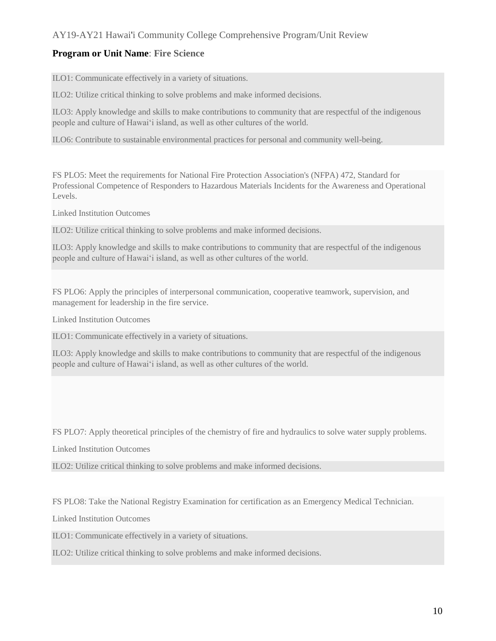## AY19-AY21 Hawai'i Community College Comprehensive Program/Unit Review

## **Program or Unit Name**: **Fire Science**

ILO1: Communicate effectively in a variety of situations.

ILO2: Utilize critical thinking to solve problems and make informed decisions.

ILO3: Apply knowledge and skills to make contributions to community that are respectful of the indigenous people and culture of Hawai'i island, as well as other cultures of the world.

ILO6: Contribute to sustainable environmental practices for personal and community well-being.

FS PLO5: Meet the requirements for National Fire Protection Association's (NFPA) 472, Standard for Professional Competence of Responders to Hazardous Materials Incidents for the Awareness and Operational Levels.

Linked Institution Outcomes

ILO2: Utilize critical thinking to solve problems and make informed decisions.

ILO3: Apply knowledge and skills to make contributions to community that are respectful of the indigenous people and culture of Hawai'i island, as well as other cultures of the world.

FS PLO6: Apply the principles of interpersonal communication, cooperative teamwork, supervision, and management for leadership in the fire service.

Linked Institution Outcomes

ILO1: Communicate effectively in a variety of situations.

ILO3: Apply knowledge and skills to make contributions to community that are respectful of the indigenous people and culture of Hawai'i island, as well as other cultures of the world.

FS PLO7: Apply theoretical principles of the chemistry of fire and hydraulics to solve water supply problems.

Linked Institution Outcomes

ILO2: Utilize critical thinking to solve problems and make informed decisions.

FS PLO8: Take the National Registry Examination for certification as an Emergency Medical Technician.

Linked Institution Outcomes

ILO1: Communicate effectively in a variety of situations.

ILO2: Utilize critical thinking to solve problems and make informed decisions.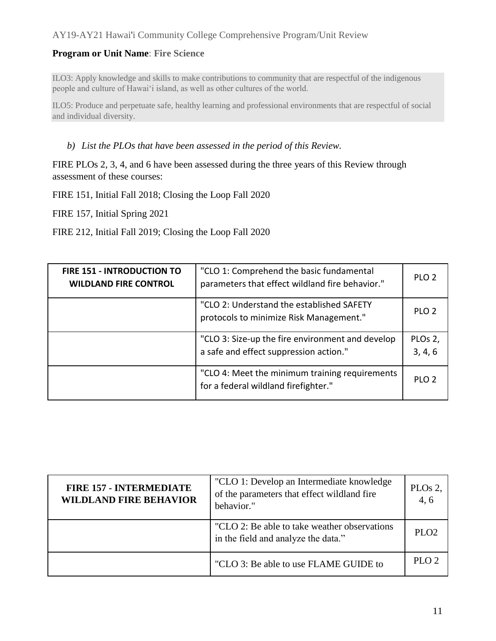## AY19-AY21 Hawai'i Community College Comprehensive Program/Unit Review

#### **Program or Unit Name**: **Fire Science**

ILO3: Apply knowledge and skills to make contributions to community that are respectful of the indigenous people and culture of Hawai'i island, as well as other cultures of the world.

ILO5: Produce and perpetuate safe, healthy learning and professional environments that are respectful of social and individual diversity.

#### *b) List the PLOs that have been assessed in the period of this Review.*

FIRE PLOs 2, 3, 4, and 6 have been assessed during the three years of this Review through assessment of these courses:

FIRE 151, Initial Fall 2018; Closing the Loop Fall 2020

FIRE 157, Initial Spring 2021

FIRE 212, Initial Fall 2019; Closing the Loop Fall 2020

| FIRE 151 - INTRODUCTION TO<br><b>WILDLAND FIRE CONTROL</b> | "CLO 1: Comprehend the basic fundamental<br>parameters that effect wildland fire behavior." | PLO <sub>2</sub>   |
|------------------------------------------------------------|---------------------------------------------------------------------------------------------|--------------------|
|                                                            | "CLO 2: Understand the established SAFETY<br>protocols to minimize Risk Management."        | PLO <sub>2</sub>   |
|                                                            | "CLO 3: Size-up the fire environment and develop<br>a safe and effect suppression action."  | PLOs 2,<br>3, 4, 6 |
|                                                            | "CLO 4: Meet the minimum training requirements<br>for a federal wildland firefighter."      | PLO <sub>2</sub>   |

| <b>FIRE 157 - INTERMEDIATE</b><br><b>WILDLAND FIRE BEHAVIOR</b> | "CLO 1: Develop an Intermediate knowledge<br>of the parameters that effect wildland fire<br>behavior." | PLO <sub>s</sub> 2,<br>4.6 |
|-----------------------------------------------------------------|--------------------------------------------------------------------------------------------------------|----------------------------|
|                                                                 | "CLO 2: Be able to take weather observations"<br>in the field and analyze the data."                   | $PI \Omega$                |
|                                                                 | "CLO 3: Be able to use FLAME GUIDE to                                                                  | PLO <sub>2</sub>           |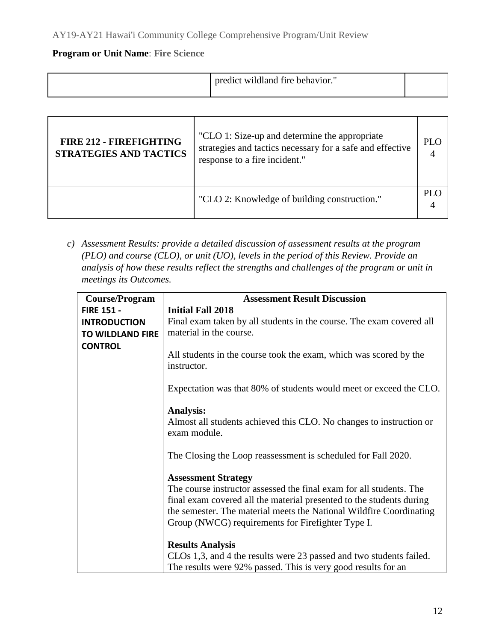|  | predict wildland fire behavior. |  |
|--|---------------------------------|--|
|--|---------------------------------|--|

| <b>FIRE 212 - FIREFIGHTING</b><br><b>STRATEGIES AND TACTICS</b> | "CLO 1: Size-up and determine the appropriate<br>strategies and tactics necessary for a safe and effective<br>response to a fire incident." | <b>PLO</b> |
|-----------------------------------------------------------------|---------------------------------------------------------------------------------------------------------------------------------------------|------------|
|                                                                 | "CLO 2: Knowledge of building construction."                                                                                                | <b>PLO</b> |

*c) Assessment Results: provide a detailed discussion of assessment results at the program (PLO) and course (CLO), or unit (UO), levels in the period of this Review. Provide an analysis of how these results reflect the strengths and challenges of the program or unit in meetings its Outcomes.*

| <b>Course/Program</b>   | <b>Assessment Result Discussion</b>                                                                                                                                                                                                                                                                   |
|-------------------------|-------------------------------------------------------------------------------------------------------------------------------------------------------------------------------------------------------------------------------------------------------------------------------------------------------|
| <b>FIRE 151 -</b>       | <b>Initial Fall 2018</b>                                                                                                                                                                                                                                                                              |
| <b>INTRODUCTION</b>     | Final exam taken by all students in the course. The exam covered all                                                                                                                                                                                                                                  |
| <b>TO WILDLAND FIRE</b> | material in the course.                                                                                                                                                                                                                                                                               |
| <b>CONTROL</b>          |                                                                                                                                                                                                                                                                                                       |
|                         | All students in the course took the exam, which was scored by the<br>instructor.                                                                                                                                                                                                                      |
|                         | Expectation was that 80% of students would meet or exceed the CLO.                                                                                                                                                                                                                                    |
|                         | <b>Analysis:</b><br>Almost all students achieved this CLO. No changes to instruction or<br>exam module.                                                                                                                                                                                               |
|                         | The Closing the Loop reassessment is scheduled for Fall 2020.                                                                                                                                                                                                                                         |
|                         | <b>Assessment Strategy</b><br>The course instructor assessed the final exam for all students. The<br>final exam covered all the material presented to the students during<br>the semester. The material meets the National Wildfire Coordinating<br>Group (NWCG) requirements for Firefighter Type I. |
|                         | <b>Results Analysis</b><br>CLOs 1,3, and 4 the results were 23 passed and two students failed.<br>The results were 92% passed. This is very good results for an                                                                                                                                       |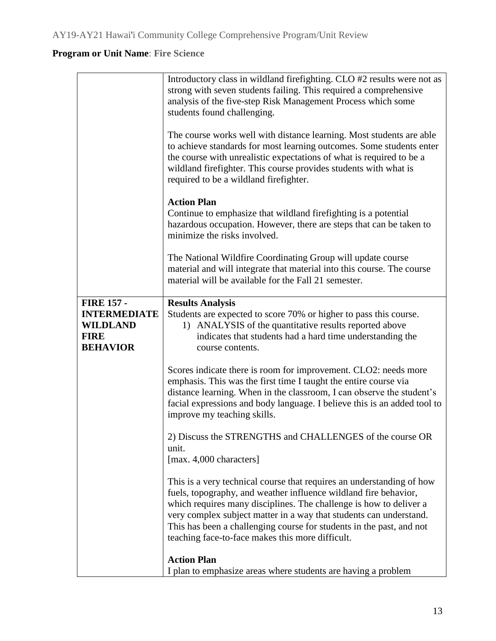|                                                                                               | Introductory class in wildland firefighting. CLO #2 results were not as<br>strong with seven students failing. This required a comprehensive<br>analysis of the five-step Risk Management Process which some<br>students found challenging.                                                                                                                                                                       |
|-----------------------------------------------------------------------------------------------|-------------------------------------------------------------------------------------------------------------------------------------------------------------------------------------------------------------------------------------------------------------------------------------------------------------------------------------------------------------------------------------------------------------------|
|                                                                                               | The course works well with distance learning. Most students are able<br>to achieve standards for most learning outcomes. Some students enter<br>the course with unrealistic expectations of what is required to be a<br>wildland firefighter. This course provides students with what is<br>required to be a wildland firefighter.                                                                                |
|                                                                                               | <b>Action Plan</b><br>Continue to emphasize that wildland fire fighting is a potential<br>hazardous occupation. However, there are steps that can be taken to<br>minimize the risks involved.                                                                                                                                                                                                                     |
|                                                                                               | The National Wildfire Coordinating Group will update course<br>material and will integrate that material into this course. The course<br>material will be available for the Fall 21 semester.                                                                                                                                                                                                                     |
| <b>FIRE 157 -</b><br><b>INTERMEDIATE</b><br><b>WILDLAND</b><br><b>FIRE</b><br><b>BEHAVIOR</b> | <b>Results Analysis</b><br>Students are expected to score 70% or higher to pass this course.<br>1) ANALYSIS of the quantitative results reported above<br>indicates that students had a hard time understanding the<br>course contents.                                                                                                                                                                           |
|                                                                                               | Scores indicate there is room for improvement. CLO2: needs more<br>emphasis. This was the first time I taught the entire course via<br>distance learning. When in the classroom, I can observe the student's<br>facial expressions and body language. I believe this is an added tool to<br>improve my teaching skills.                                                                                           |
|                                                                                               | 2) Discuss the STRENGTHS and CHALLENGES of the course OR<br>unit.<br>[max. 4,000 characters]                                                                                                                                                                                                                                                                                                                      |
|                                                                                               | This is a very technical course that requires an understanding of how<br>fuels, topography, and weather influence wildland fire behavior,<br>which requires many disciplines. The challenge is how to deliver a<br>very complex subject matter in a way that students can understand.<br>This has been a challenging course for students in the past, and not<br>teaching face-to-face makes this more difficult. |
|                                                                                               | <b>Action Plan</b><br>I plan to emphasize areas where students are having a problem                                                                                                                                                                                                                                                                                                                               |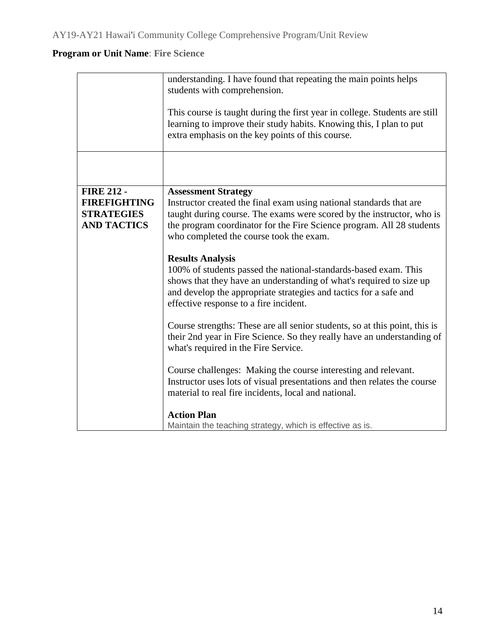|                                          | understanding. I have found that repeating the main points helps<br>students with comprehension.<br>This course is taught during the first year in college. Students are still<br>learning to improve their study habits. Knowing this, I plan to put<br>extra emphasis on the key points of this course. |
|------------------------------------------|-----------------------------------------------------------------------------------------------------------------------------------------------------------------------------------------------------------------------------------------------------------------------------------------------------------|
|                                          |                                                                                                                                                                                                                                                                                                           |
| <b>FIRE 212 -</b><br><b>FIREFIGHTING</b> | <b>Assessment Strategy</b><br>Instructor created the final exam using national standards that are                                                                                                                                                                                                         |
| <b>STRATEGIES</b>                        | taught during course. The exams were scored by the instructor, who is                                                                                                                                                                                                                                     |
| <b>AND TACTICS</b>                       | the program coordinator for the Fire Science program. All 28 students                                                                                                                                                                                                                                     |
|                                          | who completed the course took the exam.                                                                                                                                                                                                                                                                   |
|                                          |                                                                                                                                                                                                                                                                                                           |
|                                          | <b>Results Analysis</b><br>100% of students passed the national-standards-based exam. This<br>shows that they have an understanding of what's required to size up<br>and develop the appropriate strategies and tactics for a safe and<br>effective response to a fire incident.                          |
|                                          | Course strengths: These are all senior students, so at this point, this is<br>their 2nd year in Fire Science. So they really have an understanding of<br>what's required in the Fire Service.                                                                                                             |
|                                          | Course challenges: Making the course interesting and relevant.<br>Instructor uses lots of visual presentations and then relates the course<br>material to real fire incidents, local and national.                                                                                                        |
|                                          | <b>Action Plan</b><br>Maintain the teaching strategy, which is effective as is.                                                                                                                                                                                                                           |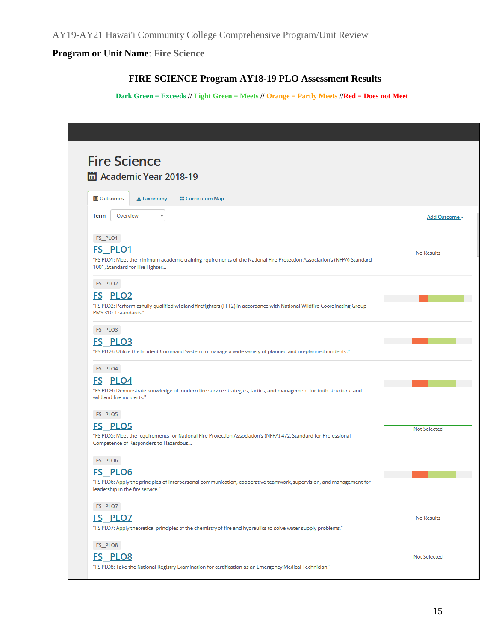## **FIRE SCIENCE Program AY18-19 PLO Assessment Results**

**Dark Green = Exceeds // Light Green = Meets // Orange = Partly Meets //Red = Does not Meet**

| <b>Fire Science</b>                                                                                                                                       |               |
|-----------------------------------------------------------------------------------------------------------------------------------------------------------|---------------|
| Academic Year 2018-19                                                                                                                                     |               |
| Outcomes<br><b>El</b> Curriculum Map<br>$\triangle$ Taxonomy                                                                                              |               |
| Overview<br>$\checkmark$<br>Term:                                                                                                                         | Add Outcome - |
| FS PLO1                                                                                                                                                   |               |
| <b>FS PLO1</b>                                                                                                                                            | No Results    |
| "FS PLO1: Meet the minimum academic training rquirements of the National Fire Protection Association's (NFPA) Standard<br>1001, Standard for Fire Fighter |               |
| FS_PLO2                                                                                                                                                   |               |
| <b>FS PLO2</b>                                                                                                                                            |               |
| "FS PLO2: Perform as fully qualified wildland firefighters (FFT2) in accordance with National Wildfire Coordinating Group<br>PMS 310-1 standards."        |               |
| FS_PLO3                                                                                                                                                   |               |
| FS PLO3                                                                                                                                                   |               |
| "FS PLO3: Utilize the Incident Command System to manage a wide variety of planned and un-planned incidents."                                              |               |
| FS_PLO4                                                                                                                                                   |               |
| <b>FS PLO4</b>                                                                                                                                            |               |
| "FS PLO4: Demonstrate knowledge of modern fire service strategies, tactics, and management for both structural and<br>wildland fire incidents."           |               |
| FS_PLO5                                                                                                                                                   |               |
| <b>FS PLO5</b>                                                                                                                                            | Not Selected  |
| "FS PLO5: Meet the requirements for National Fire Protection Association's (NFPA) 472, Standard for Professional<br>Competence of Responders to Hazardous |               |
| FS_PLO6                                                                                                                                                   |               |
| <b>FS PLO6</b>                                                                                                                                            |               |
| "FS PLO6: Apply the principles of interpersonal communication, cooperative teamwork, supervision, and management for<br>leadership in the fire service."  |               |
| FS_PLO7                                                                                                                                                   |               |
| <b>FS PLO7</b>                                                                                                                                            | No Results    |
| "FS PLO7: Apply theoretical principles of the chemistry of fire and hydraulics to solve water supply problems."                                           |               |
| FS_PLO8                                                                                                                                                   |               |
| <b>FS PLO8</b>                                                                                                                                            | Not Selected  |
| "FS PLO8: Take the National Registry Examination for certification as an Emergency Medical Technician."                                                   |               |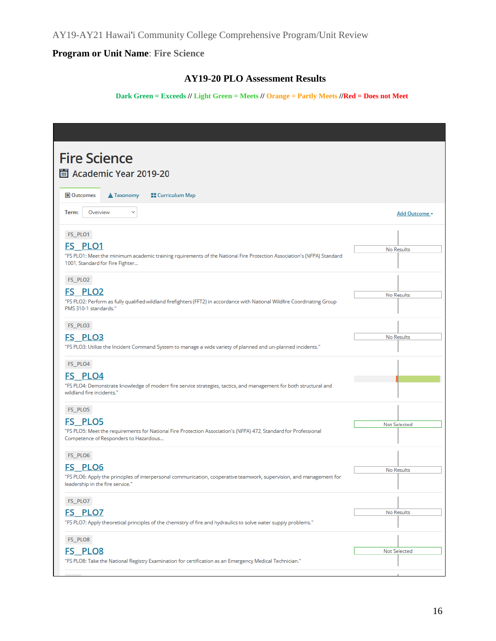AY19-AY21 Hawai'i Community College Comprehensive Program/Unit Review

## **Program or Unit Name**: **Fire Science**

## **AY19-20 PLO Assessment Results**

#### **Dark Green = Exceeds // Light Green = Meets // Orange = Partly Meets //Red = Does not Meet**

| <b>Fire Science</b><br>圖 Academic Year 2019-20                                                                                                                                         |               |
|----------------------------------------------------------------------------------------------------------------------------------------------------------------------------------------|---------------|
| Outcomes<br><b>▲ Taxonomy</b><br><b>Curriculum Map</b>                                                                                                                                 |               |
| Overview<br>Term:<br>v                                                                                                                                                                 | Add Outcome - |
| FS_PLO1<br><b>FS PLO1</b><br>"FS PLO1: Meet the minimum academic training rquirements of the National Fire Protection Association's (NFPA) Standard<br>1001, Standard for Fire Fighter | No Results    |
| FS_PLO2<br><b>FS PLO2</b><br>"FS PLO2: Perform as fully qualified wildland firefighters (FFT2) in accordance with National Wildfire Coordinating Group<br>PMS 310-1 standards."        | No Results    |
| FS_PLO3<br>FS PLO3<br>"FS PLO3: Utilize the Incident Command System to manage a wide variety of planned and un-planned incidents."                                                     | No Results    |
| FS_PLO4<br><b>FS PLO4</b><br>"FS PLO4: Demonstrate knowledge of modern fire service strategies, tactics, and management for both structural and<br>wildland fire incidents."           |               |
| FS_PLO5<br><b>FS PLO5</b><br>"FS PLO5: Meet the requirements for National Fire Protection Association's (NFPA) 472, Standard for Professional<br>Competence of Responders to Hazardous | Not Selected  |
| FS_PLO6<br><b>FS PLO6</b><br>"FS PLO6: Apply the principles of interpersonal communication, cooperative teamwork, supervision, and management for<br>leadership in the fire service."  | No Results    |
| FS_PLO7<br>FS <sub>PLO7</sub><br>"FS PLO7: Apply theoretical principles of the chemistry of fire and hydraulics to solve water supply problems."                                       | No Results    |
| FS_PLO8<br>FS <sub>PLO8</sub><br>"FS PLO8: Take the National Registry Examination for certification as an Emergency Medical Technician."                                               | Not Selected  |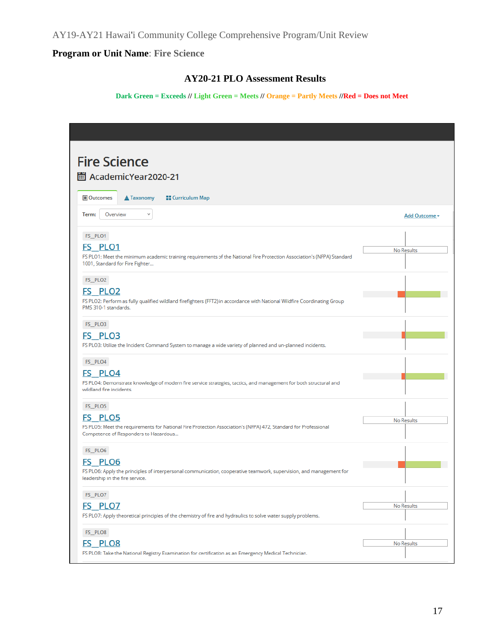## **AY20-21 PLO Assessment Results**

#### **Dark Green = Exceeds // Light Green = Meets // Orange = Partly Meets //Red = Does not Meet**

| <b>Fire Science</b>                                                                                                                                       |               |
|-----------------------------------------------------------------------------------------------------------------------------------------------------------|---------------|
|                                                                                                                                                           |               |
| 圖 AcademicYear2020-21                                                                                                                                     |               |
| Outcomes<br><b>A</b> Taxonomy<br><b>E</b> Curriculum Map                                                                                                  |               |
| Term:<br>Overview<br>v                                                                                                                                    | Add Outcome - |
| FS_PLO1                                                                                                                                                   |               |
| FS PLO1                                                                                                                                                   | No Results    |
| FS PLO1: Meet the minimum academic training requirements of the National Fire Protection Association's (NFPA) Standard<br>1001, Standard for Fire Fighter |               |
| FS_PLO2                                                                                                                                                   |               |
| FS PLO2                                                                                                                                                   |               |
| FS PLO2: Perform as fully qualified wildland firefighters (FFT2) in accordance with National Wildfire Coordinating Group<br>PMS 310-1 standards.          |               |
| FS_PLO3                                                                                                                                                   |               |
| <b>FS PLO3</b>                                                                                                                                            |               |
| FS PLO3: Utilize the Incident Command System to manage a wide variety of planned and un-planned incidents.                                                |               |
| FS_PLO4                                                                                                                                                   |               |
| FS PLO4                                                                                                                                                   |               |
| FS PLO4: Demonstrate knowledge of modern fire service strategies, tactics, and management for both structural and<br>wildland fire incidents.             |               |
| FS_PLO5                                                                                                                                                   |               |
| FS PLO5                                                                                                                                                   | No Results    |
| FS PLO5: Meet the requirements for National Fire Protection Association's (NFPA) 472, Standard for Professional<br>Competence of Responders to Hazardous  |               |
| FS PLO6                                                                                                                                                   |               |
| <b>FS PLO6</b>                                                                                                                                            |               |
| FS PLO6: Apply the principles of interpersonal communication, cooperative teamwork, supervision, and management for<br>leadership in the fire service.    |               |
| FS_PLO7                                                                                                                                                   |               |
| <b>FS PLO7</b>                                                                                                                                            | No Results    |
| FS PLO7: Apply theoretical principles of the chemistry of fire and hydraulics to solve water supply problems.                                             |               |
| FS_PLO8                                                                                                                                                   |               |
| <b>FS PLO8</b>                                                                                                                                            | No Results    |
| FS PLO8: Take the National Registry Examination for certification as an Emergency Medical Technician.                                                     |               |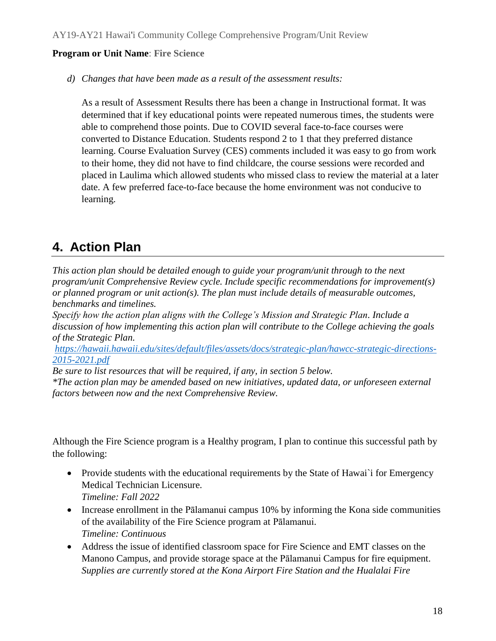*d) Changes that have been made as a result of the assessment results:* 

As a result of Assessment Results there has been a change in Instructional format. It was determined that if key educational points were repeated numerous times, the students were able to comprehend those points. Due to COVID several face-to-face courses were converted to Distance Education. Students respond 2 to 1 that they preferred distance learning. Course Evaluation Survey (CES) comments included it was easy to go from work to their home, they did not have to find childcare, the course sessions were recorded and placed in Laulima which allowed students who missed class to review the material at a later date. A few preferred face-to-face because the home environment was not conducive to learning.

## **4. Action Plan**

*This action plan should be detailed enough to guide your program/unit through to the next program/unit Comprehensive Review cycle. Include specific recommendations for improvement(s) or planned program or unit action(s). The plan must include details of measurable outcomes, benchmarks and timelines.* 

*Specify how the action plan aligns with the College's Mission and Strategic Plan. Include a discussion of how implementing this action plan will contribute to the College achieving the goals of the Strategic Plan.*

*[https://hawaii.hawaii.edu/sites/default/files/assets/docs/strategic-plan/hawcc-strategic-directions-](about:blank)[2015-2021.pdf](about:blank)*

*Be sure to list resources that will be required, if any, in section 5 below. \*The action plan may be amended based on new initiatives, updated data, or unforeseen external factors between now and the next Comprehensive Review.*

Although the Fire Science program is a Healthy program, I plan to continue this successful path by the following:

- Provide students with the educational requirements by the State of Hawai`i for Emergency Medical Technician Licensure. *Timeline: Fall 2022*
- Increase enrollment in the Pālamanui campus 10% by informing the Kona side communities of the availability of the Fire Science program at Pālamanui. *Timeline: Continuous*
- Address the issue of identified classroom space for Fire Science and EMT classes on the Manono Campus, and provide storage space at the Pālamanui Campus for fire equipment. *Supplies are currently stored at the Kona Airport Fire Station and the Hualalai Fire*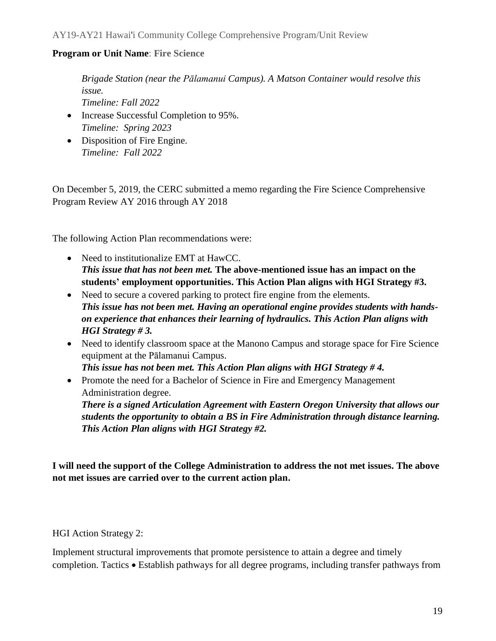*Brigade Station (near the Pālamanui Campus). A Matson Container would resolve this issue.*

*Timeline: Fall 2022*

- Increase Successful Completion to 95%. *Timeline: Spring 2023*
- Disposition of Fire Engine. *Timeline: Fall 2022*

On December 5, 2019, the CERC submitted a memo regarding the Fire Science Comprehensive Program Review AY 2016 through AY 2018

The following Action Plan recommendations were:

- Need to institutionalize EMT at HawCC. *This issue that has not been met.* **The above-mentioned issue has an impact on the students' employment opportunities. This Action Plan aligns with HGI Strategy #3.**
- Need to secure a covered parking to protect fire engine from the elements. *This issue has not been met. Having an operational engine provides students with handson experience that enhances their learning of hydraulics. This Action Plan aligns with HGI Strategy # 3.*
- Need to identify classroom space at the Manono Campus and storage space for Fire Science equipment at the Pālamanui Campus.

*This issue has not been met. This Action Plan aligns with HGI Strategy # 4.*

• Promote the need for a Bachelor of Science in Fire and Emergency Management Administration degree.

*There is a signed Articulation Agreement with Eastern Oregon University that allows our students the opportunity to obtain a BS in Fire Administration through distance learning. This Action Plan aligns with HGI Strategy #2.*

**I will need the support of the College Administration to address the not met issues. The above not met issues are carried over to the current action plan.** 

HGI Action Strategy 2:

Implement structural improvements that promote persistence to attain a degree and timely completion. Tactics • Establish pathways for all degree programs, including transfer pathways from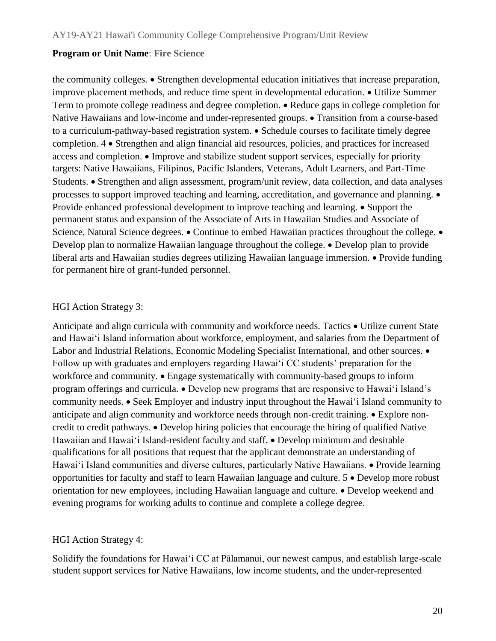the community colleges. • Strengthen developmental education initiatives that increase preparation, improve placement methods, and reduce time spent in developmental education. • Utilize Summer Term to promote college readiness and degree completion. • Reduce gaps in college completion for Native Hawaiians and low-income and under-represented groups. • Transition from a course-based to a curriculum-pathway-based registration system. • Schedule courses to facilitate timely degree completion. 4 • Strengthen and align financial aid resources, policies, and practices for increased access and completion. • Improve and stabilize student support services, especially for priority targets: Native Hawaiians, Filipinos, Pacific Islanders, Veterans, Adult Learners, and Part-Time Students. • Strengthen and align assessment, program/unit review, data collection, and data analyses processes to support improved teaching and learning, accreditation, and governance and planning. • Provide enhanced professional development to improve teaching and learning. • Support the permanent status and expansion of the Associate of Arts in Hawaiian Studies and Associate of Science, Natural Science degrees. • Continue to embed Hawaiian practices throughout the college. • Develop plan to normalize Hawaiian language throughout the college. • Develop plan to provide liberal arts and Hawaiian studies degrees utilizing Hawaiian language immersion. • Provide funding for permanent hire of grant-funded personnel.

## HGI Action Strategy 3:

Anticipate and align curricula with community and workforce needs. Tactics • Utilize current State and Hawai'i Island information about workforce, employment, and salaries from the Department of Labor and Industrial Relations, Economic Modeling Specialist International, and other sources. • Follow up with graduates and employers regarding Hawai'i CC students' preparation for the workforce and community. • Engage systematically with community-based groups to inform program offerings and curricula. • Develop new programs that are responsive to Hawai'i Island's community needs. • Seek Employer and industry input throughout the Hawai'i Island community to anticipate and align community and workforce needs through non-credit training. • Explore noncredit to credit pathways. • Develop hiring policies that encourage the hiring of qualified Native Hawaiian and Hawaiʻi Island-resident faculty and staff. • Develop minimum and desirable qualifications for all positions that request that the applicant demonstrate an understanding of Hawaiʻi Island communities and diverse cultures, particularly Native Hawaiians. • Provide learning opportunities for faculty and staff to learn Hawaiian language and culture. 5 • Develop more robust orientation for new employees, including Hawaiian language and culture. • Develop weekend and evening programs for working adults to continue and complete a college degree.

## HGI Action Strategy 4:

Solidify the foundations for Hawaiʻi CC at Pālamanui, our newest campus, and establish large-scale student support services for Native Hawaiians, low income students, and the under-represented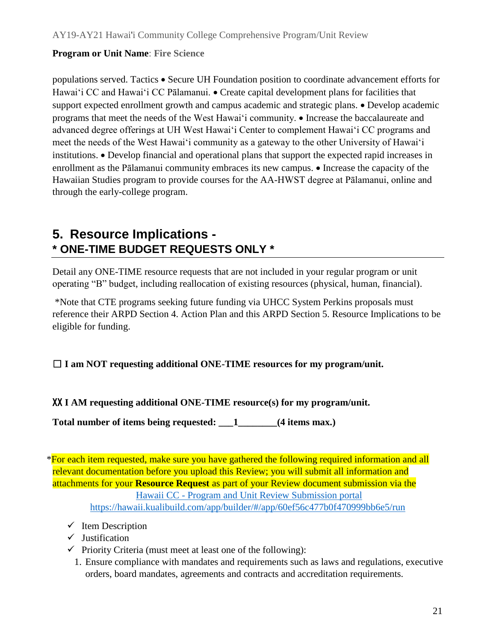populations served. Tactics • Secure UH Foundation position to coordinate advancement efforts for Hawai'i CC and Hawai'i CC Pālamanui. • Create capital development plans for facilities that support expected enrollment growth and campus academic and strategic plans. • Develop academic programs that meet the needs of the West Hawai'i community. • Increase the baccalaureate and advanced degree offerings at UH West Hawai'i Center to complement Hawai'i CC programs and meet the needs of the West Hawai'i community as a gateway to the other University of Hawai'i institutions. • Develop financial and operational plans that support the expected rapid increases in enrollment as the Pālamanui community embraces its new campus. • Increase the capacity of the Hawaiian Studies program to provide courses for the AA-HWST degree at Pālamanui, online and through the early-college program.

# **5. Resource Implications - \* ONE-TIME BUDGET REQUESTS ONLY \***

Detail any ONE-TIME resource requests that are not included in your regular program or unit operating "B" budget, including reallocation of existing resources (physical, human, financial).

\*Note that CTE programs seeking future funding via UHCC System Perkins proposals must reference their ARPD Section 4. Action Plan and this ARPD Section 5. Resource Implications to be eligible for funding.

## ☐ **I am NOT requesting additional ONE-TIME resources for my program/unit.**

XX **I AM requesting additional ONE-TIME resource(s) for my program/unit.**

**Total number of items being requested: \_\_\_1\_\_\_\_\_\_\_\_(4 items max.)**

\*For each item requested, make sure you have gathered the following required information and all relevant documentation before you upload this Review; you will submit all information and attachments for your **Resource Request** as part of your Review document submission via the Hawaii CC - Program and Unit Review Submission portal [https://hawaii.kualibuild.com/app/builder/#/app/60ef56c477b0f470999bb6e5/run](about:blank#/app/60ef56c477b0f470999bb6e5/run)

- $\checkmark$  Item Description
- $\checkmark$  Justification
- $\checkmark$  Priority Criteria (must meet at least one of the following):
	- 1. Ensure compliance with mandates and requirements such as laws and regulations, executive orders, board mandates, agreements and contracts and accreditation requirements.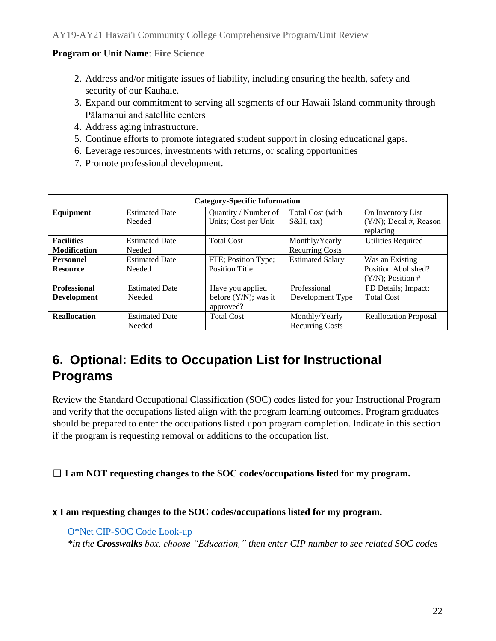- 2. Address and/or mitigate issues of liability, including ensuring the health, safety and security of our Kauhale.
- 3. Expand our commitment to serving all segments of our Hawaii Island community through Pālamanui and satellite centers
- 4. Address aging infrastructure.
- 5. Continue efforts to promote integrated student support in closing educational gaps.
- 6. Leverage resources, investments with returns, or scaling opportunities
- 7. Promote professional development.

| <b>Category-Specific Information</b> |                       |                         |                         |                                        |  |  |  |
|--------------------------------------|-----------------------|-------------------------|-------------------------|----------------------------------------|--|--|--|
| Equipment                            | <b>Estimated Date</b> | Quantity / Number of    | Total Cost (with        | On Inventory List                      |  |  |  |
|                                      | Needed                | Units; Cost per Unit    | $S\&H$ , tax)           | $(Y/N)$ ; Decal #, Reason<br>replacing |  |  |  |
| <b>Facilities</b>                    | <b>Estimated Date</b> | <b>Total Cost</b>       | Monthly/Yearly          | <b>Utilities Required</b>              |  |  |  |
| <b>Modification</b>                  | Needed                |                         | <b>Recurring Costs</b>  |                                        |  |  |  |
| <b>Personnel</b>                     | <b>Estimated Date</b> | FTE; Position Type;     | <b>Estimated Salary</b> | Was an Existing                        |  |  |  |
| <b>Resource</b>                      | Needed                | <b>Position Title</b>   |                         | Position Abolished?                    |  |  |  |
|                                      |                       |                         |                         | $(Y/N)$ ; Position #                   |  |  |  |
| <b>Professional</b>                  | <b>Estimated Date</b> | Have you applied        | Professional            | PD Details; Impact;                    |  |  |  |
| <b>Development</b>                   | Needed                | before $(Y/N)$ ; was it | Development Type        | <b>Total Cost</b>                      |  |  |  |
|                                      |                       | approved?               |                         |                                        |  |  |  |
| <b>Reallocation</b>                  | <b>Estimated Date</b> | <b>Total Cost</b>       | Monthly/Yearly          | <b>Reallocation Proposal</b>           |  |  |  |
|                                      | Needed                |                         | <b>Recurring Costs</b>  |                                        |  |  |  |

# **6. Optional: Edits to Occupation List for Instructional Programs**

Review the Standard Occupational Classification (SOC) codes listed for your Instructional Program and verify that the occupations listed align with the program learning outcomes. Program graduates should be prepared to enter the occupations listed upon program completion. Indicate in this section if the program is requesting removal or additions to the occupation list.

## ☐ **I am NOT requesting changes to the SOC codes/occupations listed for my program.**

## x **I am requesting changes to the SOC codes/occupations listed for my program.**

O\*Net CIP-SOC Code Look-up

*\*in the Crosswalks box, choose "Education," then enter CIP number to see related SOC codes*